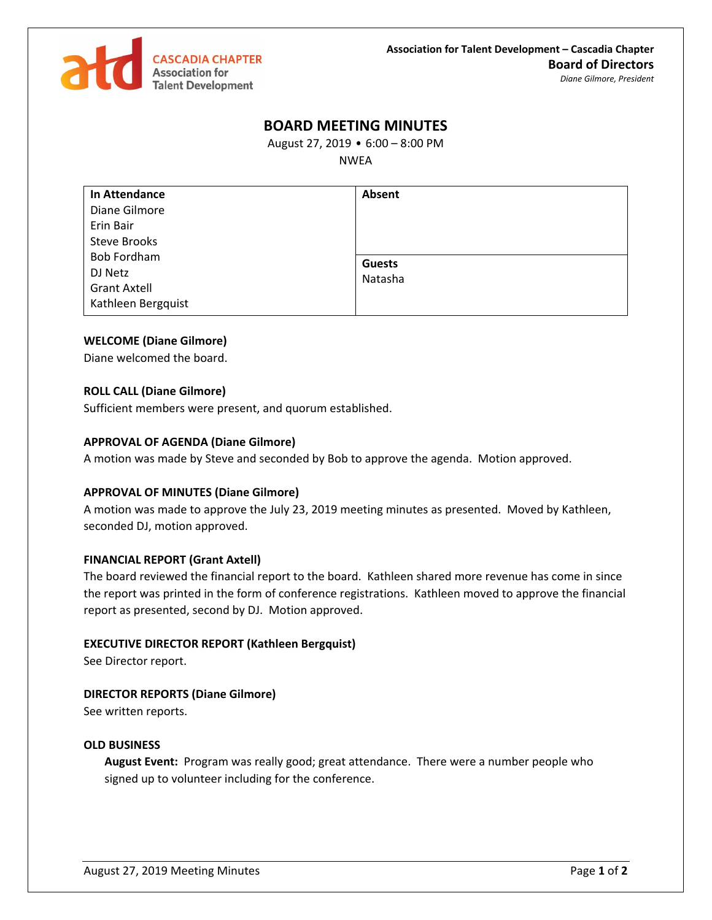

# **BOARD MEETING MINUTES**

August 27, 2019 • 6:00 – 8:00 PM

NWEA

| <b>In Attendance</b> | Absent        |
|----------------------|---------------|
| Diane Gilmore        |               |
| Erin Bair            |               |
| <b>Steve Brooks</b>  |               |
| <b>Bob Fordham</b>   | <b>Guests</b> |
| DJ Netz              | Natasha       |
| <b>Grant Axtell</b>  |               |
| Kathleen Bergquist   |               |

# **WELCOME (Diane Gilmore)**

Diane welcomed the board.

# **ROLL CALL (Diane Gilmore)**

Sufficient members were present, and quorum established.

# **APPROVAL OF AGENDA (Diane Gilmore)**

A motion was made by Steve and seconded by Bob to approve the agenda. Motion approved.

# **APPROVAL OF MINUTES (Diane Gilmore)**

A motion was made to approve the July 23, 2019 meeting minutes as presented. Moved by Kathleen, seconded DJ, motion approved.

# **FINANCIAL REPORT (Grant Axtell)**

The board reviewed the financial report to the board. Kathleen shared more revenue has come in since the report was printed in the form of conference registrations. Kathleen moved to approve the financial report as presented, second by DJ. Motion approved.

### **EXECUTIVE DIRECTOR REPORT (Kathleen Bergquist)**

See Director report.

# **DIRECTOR REPORTS (Diane Gilmore)**

See written reports.

### **OLD BUSINESS**

**August Event:** Program was really good; great attendance. There were a number people who signed up to volunteer including for the conference.